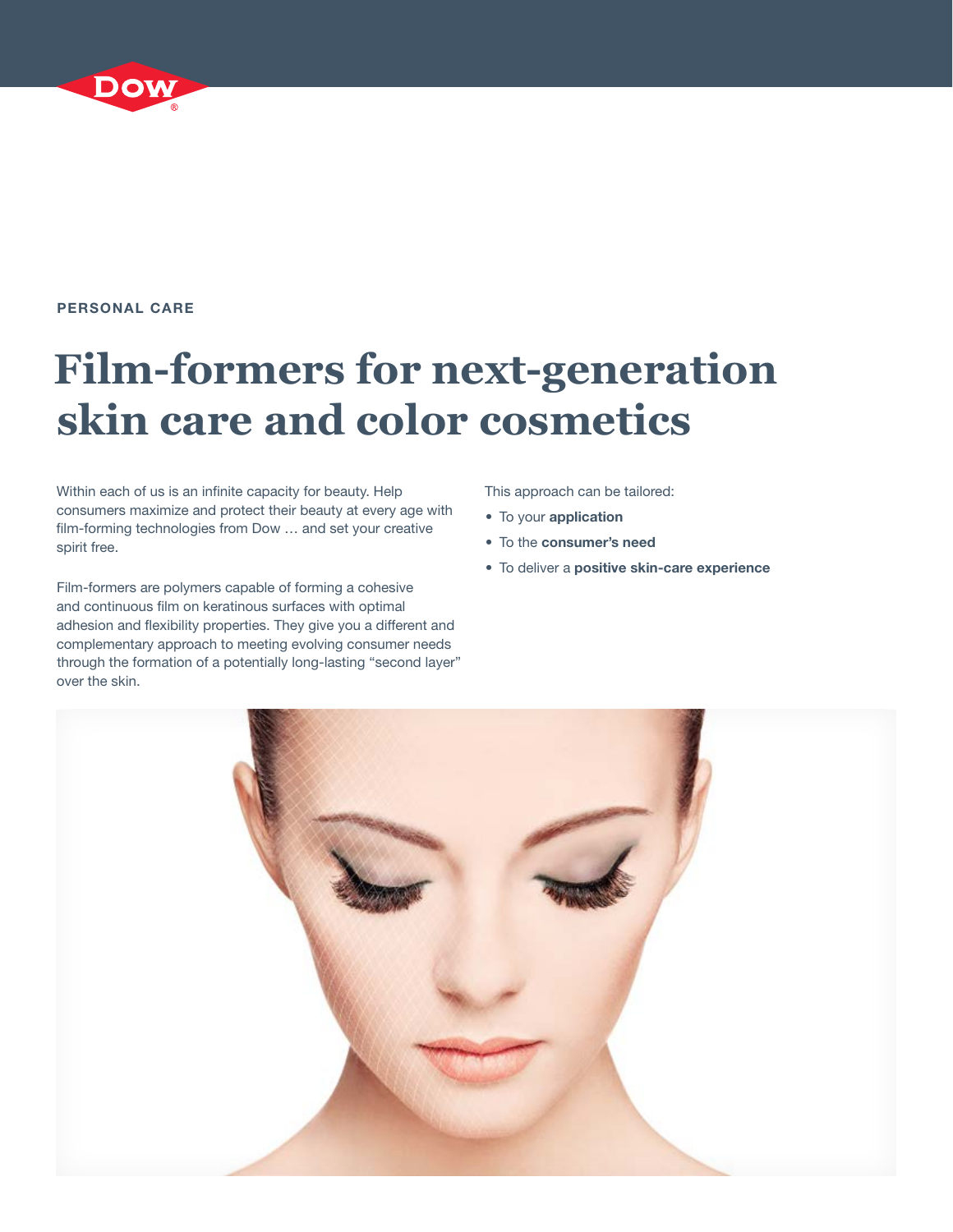#### PERSONAL CARE

# **Film-formers for next-generation skin care and color cosmetics**

Within each of us is an infinite capacity for beauty. Help consumers maximize and protect their beauty at every age with film-forming technologies from Dow … and set your creative spirit free.

Film-formers are polymers capable of forming a cohesive and continuous film on keratinous surfaces with optimal adhesion and flexibility properties. They give you a different and complementary approach to meeting evolving consumer needs through the formation of a potentially long-lasting "second layer" over the skin.

This approach can be tailored:

- To your application
- To the consumer's need
- To deliver a positive skin-care experience

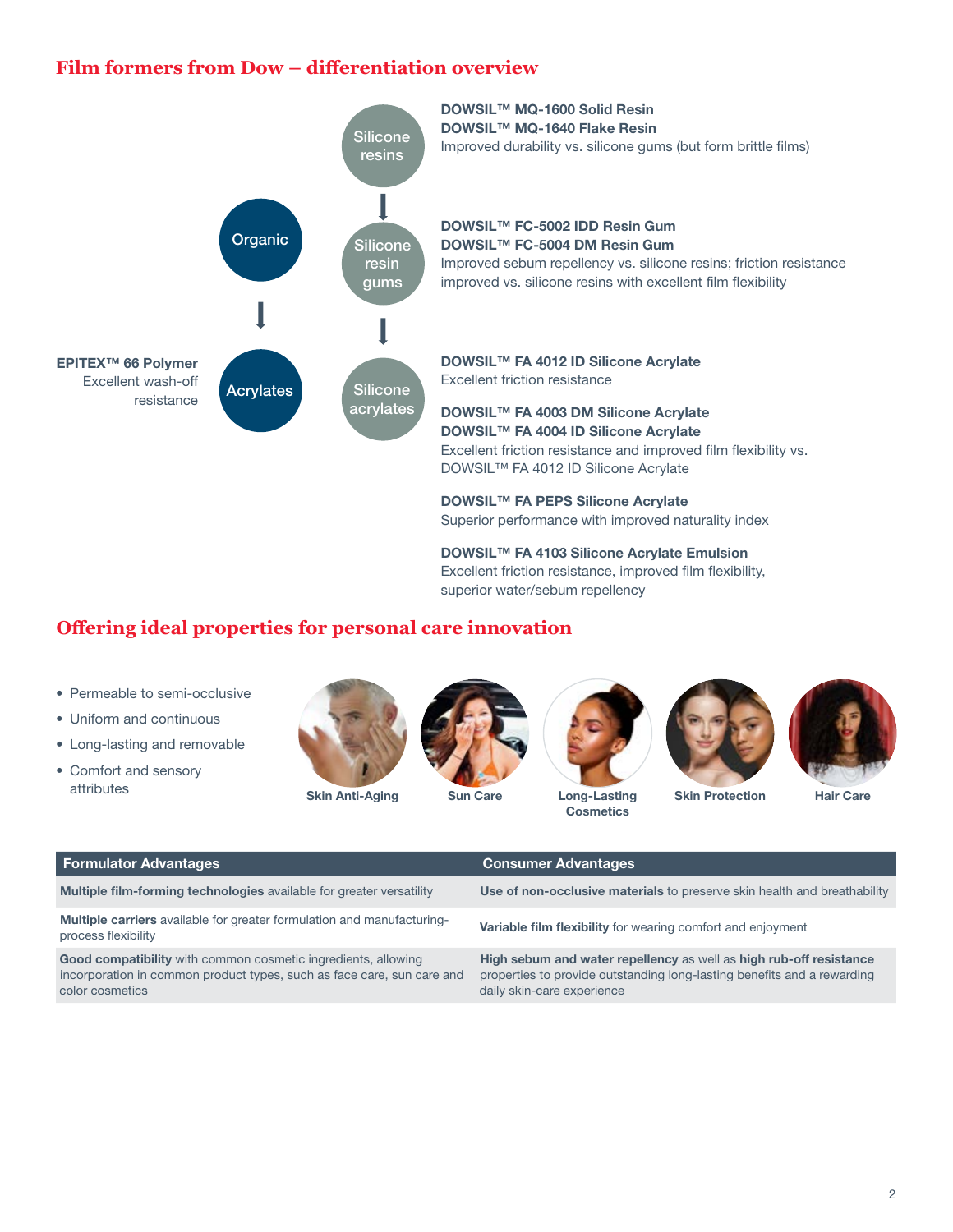## **Film formers from Dow – differentiation overview**



## **Offering ideal properties for personal care innovation**

- Permeable to semi-occlusive
- Uniform and continuous
- Long-lasting and removable
- Comfort and sensory attributes



Skin Anti-Aging Sun Care Long-Lasting





**Cosmetics** 



Skin Protection Hair Care

| <b>Formulator Advantages</b>                                                                                                                                      | <b>Consumer Advantages</b>                                                                                                                                                  |
|-------------------------------------------------------------------------------------------------------------------------------------------------------------------|-----------------------------------------------------------------------------------------------------------------------------------------------------------------------------|
| <b>Multiple film-forming technologies</b> available for greater versatility                                                                                       | Use of non-occlusive materials to preserve skin health and breathability                                                                                                    |
| <b>Multiple carriers</b> available for greater formulation and manufacturing-<br>process flexibility                                                              | Variable film flexibility for wearing comfort and enjoyment                                                                                                                 |
| <b>Good compatibility</b> with common cosmetic ingredients, allowing<br>incorporation in common product types, such as face care, sun care and<br>color cosmetics | High sebum and water repellency as well as high rub-off resistance<br>properties to provide outstanding long-lasting benefits and a rewarding<br>daily skin-care experience |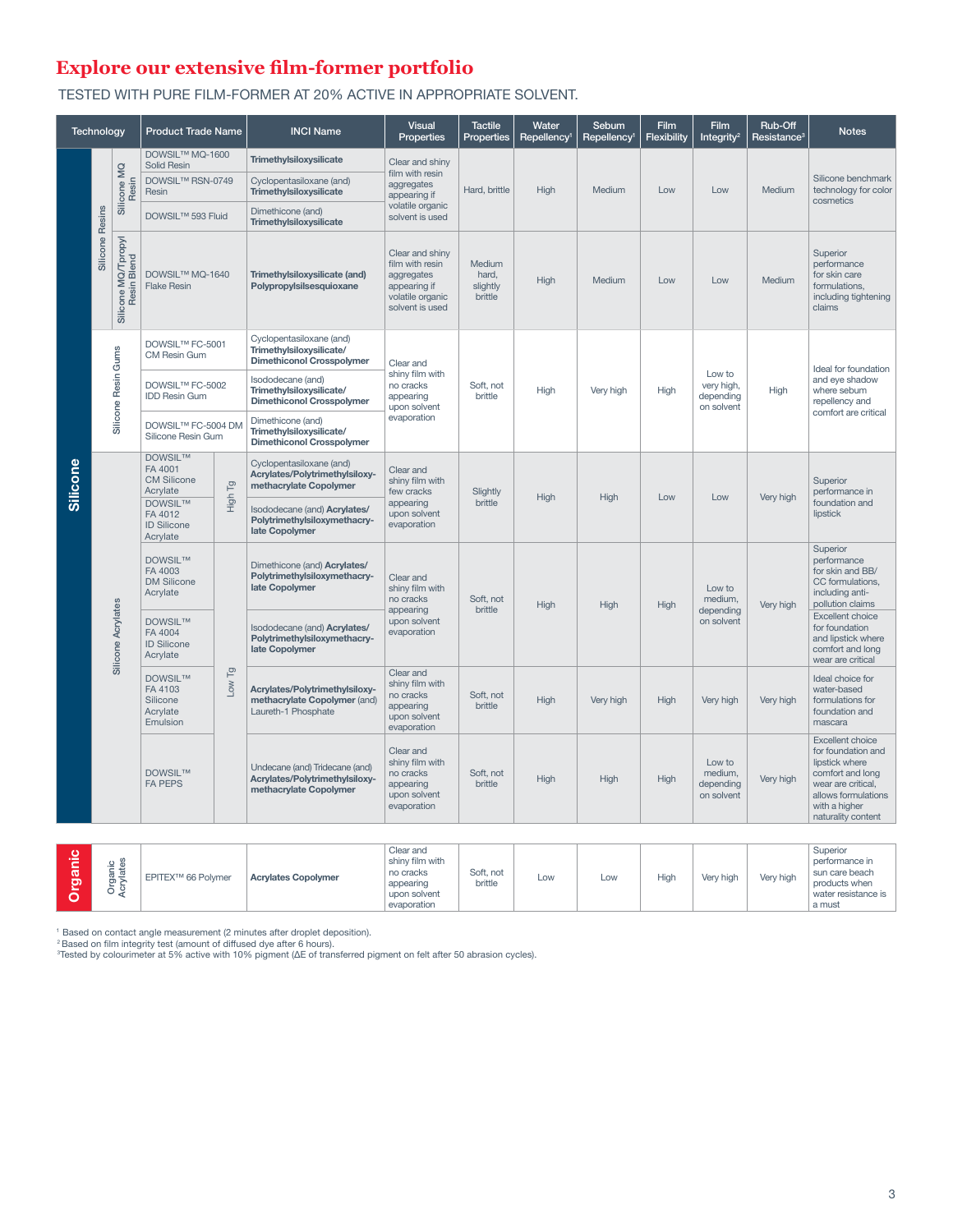## **Explore our extensive film-former portfolio**

TESTED WITH PURE FILM-FORMER AT 20% ACTIVE IN APPROPRIATE SOLVENT.

| Technology |                 |                                    | <b>Product Trade Name</b>                                     |                           | <b>INCI Name</b>                                                                         | <b>Visual</b><br><b>Properties</b>                                                                      | <b>Tactile</b><br><b>Properties</b>                                                   | Water<br>Repellency <sup>1</sup> | Sebum<br>Repellency <sup>1</sup> | <b>Film</b><br>Flexibility | Film<br>Integrity <sup>2</sup>                  | Rub-Off<br>Resistance <sup>3</sup>           | <b>Notes</b>                                                                                             |
|------------|-----------------|------------------------------------|---------------------------------------------------------------|---------------------------|------------------------------------------------------------------------------------------|---------------------------------------------------------------------------------------------------------|---------------------------------------------------------------------------------------|----------------------------------|----------------------------------|----------------------------|-------------------------------------------------|----------------------------------------------|----------------------------------------------------------------------------------------------------------|
| Silicone   | Silicone Resins | Silicone MQ<br>Resin               | DOWSIL™ MQ-1600<br>Solid Resin<br>DOWSIL™ RSN-0749<br>Resin   |                           | Trimethylsiloxysilicate<br>Cyclopentasiloxane (and)<br>Trimethylsiloxysilicate           | Clear and shiny<br>film with resin<br>aggregates<br>appearing if<br>volatile organic                    | Hard, brittle                                                                         | High                             | Medium                           | Low                        | Low                                             | Medium                                       | Silicone benchmark<br>technology for color<br>cosmetics                                                  |
|            |                 |                                    | DOWSIL™ 593 Fluid                                             |                           | Dimethicone (and)<br>Trimethylsiloxysilicate                                             | solvent is used                                                                                         |                                                                                       |                                  |                                  |                            |                                                 |                                              |                                                                                                          |
|            |                 | Silicone MQ/Tpropyl<br>Resin Blend | DOWSIL™ MQ-1640<br><b>Flake Resin</b>                         |                           | Trimethylsiloxysilicate (and)<br>Polypropylsilsesquioxane                                | Clear and shinv<br>film with resin<br>aggregates<br>appearing if<br>volatile organic<br>solvent is used | Medium<br>hard.<br>slightly<br>brittle                                                | High                             | Medium                           | Low                        | Low                                             | Medium                                       | Superior<br>performance<br>for skin care<br>formulations,<br>including tightening<br>claims              |
|            |                 |                                    | DOWSIL™ FC-5001<br>CM Resin Gum                               |                           | Cyclopentasiloxane (and)<br>Trimethylsiloxysilicate/<br><b>Dimethiconol Crosspolymer</b> | Clear and<br>shiny film with<br>no cracks<br>appearing<br>upon solvent                                  | Soft, not<br>brittle                                                                  | High                             | Very high                        | High                       | Low to<br>very high,<br>depending<br>on solvent | High                                         | Ideal for foundation<br>and eye shadow<br>where sebum<br>repellency and                                  |
|            |                 | Silicone Resin Gums                | DOWSIL™ FC-5002<br><b>IDD Resin Gum</b>                       |                           | Isododecane (and)<br>Trimethylsiloxysilicate/<br><b>Dimethiconol Crosspolymer</b>        |                                                                                                         |                                                                                       |                                  |                                  |                            |                                                 |                                              |                                                                                                          |
|            |                 |                                    | DOWSIL™ FC-5004 DM<br>Silicone Resin Gum                      |                           | Dimethicone (and)<br>Trimethylsiloxysilicate/<br><b>Dimethiconol Crosspolymer</b>        | evaporation                                                                                             |                                                                                       |                                  |                                  |                            |                                                 |                                              | comfort are critical                                                                                     |
|            |                 |                                    | <b>DOWSIL™</b><br>FA 4001<br><b>CM Silicone</b><br>Acrylate   | $\overline{p}$            | Cyclopentasiloxane (and)<br>Acrylates/Polytrimethylsiloxy-<br>methacrylate Copolymer     | Clear and<br>shiny film with<br>few cracks<br>appearing<br>upon solvent<br>evaporation                  | Slightly<br>brittle                                                                   | High                             | High                             | Low                        | Low                                             | Very high                                    | Superior<br>performance in<br>foundation and<br>lipstick                                                 |
|            |                 |                                    | <b>DOWSIL™</b><br>FA 4012<br><b>ID Silicone</b><br>Acrylate   | High                      | Isododecane (and) Acrylates/<br>Polytrimethylsiloxymethacry-<br>late Copolymer           |                                                                                                         |                                                                                       |                                  |                                  |                            |                                                 |                                              |                                                                                                          |
|            |                 | Silicone Acrylates                 | <b>DOWSIL™</b><br>FA 4003<br><b>DM Silicone</b><br>Acrylate   |                           | Dimethicone (and) Acrylates/<br>Polytrimethylsiloxymethacry-<br>late Copolymer           | Clear and<br>shiny film with<br>no cracks<br>appearing<br>upon solvent<br>evaporation                   | Soft. not<br>brittle                                                                  | High                             | High                             | High                       | Low to<br>medium.<br>depending<br>on solvent    | Very high                                    | Superior<br>performance<br>for skin and BB/<br>CC formulations,<br>including anti-<br>pollution claims   |
|            |                 |                                    | <b>DOWSILTM</b><br>FA 4004<br><b>ID Silicone</b><br>Acrylate  |                           | Isododecane (and) Acrylates/<br>Polytrimethylsiloxymethacry-<br>late Copolymer           |                                                                                                         |                                                                                       |                                  |                                  |                            |                                                 |                                              | <b>Excellent choice</b><br>for foundation<br>and lipstick where<br>comfort and long<br>wear are critical |
|            |                 |                                    | <b>DOWSIL™</b><br>FA 4103<br>Silicone<br>Acrylate<br>Emulsion | Low Tg                    | Acrylates/Polytrimethylsiloxy-<br>methacrylate Copolymer (and)<br>Laureth-1 Phosphate    | Clear and<br>shiny film with<br>no cracks<br>appearing<br>upon solvent<br>evaporation                   | Soft. not<br>brittle                                                                  | High                             | Very high                        | High                       | Very high                                       | Very high                                    | Ideal choice for<br>water-based<br>formulations for<br>foundation and<br>mascara                         |
|            |                 |                                    |                                                               | DOWSIL™<br><b>FA PEPS</b> |                                                                                          | Undecane (and) Tridecane (and)<br>Acrylates/Polytrimethylsiloxy-<br>methacrylate Copolymer              | Clear and<br>shiny film with<br>no cracks<br>appearing<br>upon solvent<br>evaporation | Soft, not<br>brittle             | High                             | High                       | High                                            | Low to<br>medium,<br>depending<br>on solvent | Very high                                                                                                |

| т<br>ത | ້<br>≔<br>O | EPITEX <sup>™</sup> 66 Polymer | <b>Acrylates Copolymer</b> | Clear and<br>shiny film with<br>no cracks<br>appearing<br>upon solvent<br>evaporation | Soft, not<br>brittle | LOW | LOW | High | Very high | Very high | Superior<br>performance in<br>sun care beach<br>products when<br>water resistance is<br>a must |
|--------|-------------|--------------------------------|----------------------------|---------------------------------------------------------------------------------------|----------------------|-----|-----|------|-----------|-----------|------------------------------------------------------------------------------------------------|
|--------|-------------|--------------------------------|----------------------------|---------------------------------------------------------------------------------------|----------------------|-----|-----|------|-----------|-----------|------------------------------------------------------------------------------------------------|

' Based on contact angle measurement (2 minutes after droplet deposition).<br><sup>2</sup> Based on film integrity test (amount of diffused dye after 6 hours).<br><sup>3</sup>Tested by colourimeter at 5% active with 10% pigment (ΔE of transferre